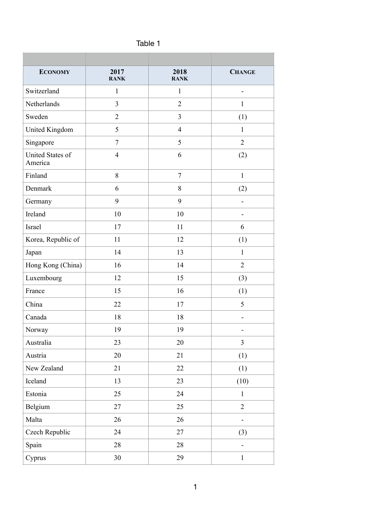| н<br>D<br>. . |  |
|---------------|--|
|---------------|--|

| <b>ECONOMY</b>              | 2017<br><b>RANK</b> | 2018<br><b>RANK</b> | <b>CHANGE</b>  |
|-----------------------------|---------------------|---------------------|----------------|
| Switzerland                 | $\mathbf{1}$        | $\mathbf{1}$        |                |
| Netherlands                 | 3                   | $\overline{2}$      | $\mathbf{1}$   |
| Sweden                      | $\overline{2}$      | $\overline{3}$      | (1)            |
| <b>United Kingdom</b>       | 5                   | $\overline{4}$      | $\mathbf{1}$   |
| Singapore                   | $\tau$              | 5                   | $\overline{2}$ |
| United States of<br>America | $\overline{4}$      | 6                   | (2)            |
| Finland                     | 8                   | $\tau$              | $\mathbf{1}$   |
| Denmark                     | 6                   | $8\,$               | (2)            |
| Germany                     | 9                   | 9                   |                |
| Ireland                     | 10                  | 10                  |                |
| Israel                      | 17                  | 11                  | 6              |
| Korea, Republic of          | 11                  | 12                  | (1)            |
| Japan                       | 14                  | 13                  | 1              |
| Hong Kong (China)           | 16                  | 14                  | $\overline{2}$ |
| Luxembourg                  | 12                  | 15                  | (3)            |
| France                      | 15                  | 16                  | (1)            |
| China                       | 22                  | 17                  | 5              |
| Canada                      | 18                  | 18                  | -              |
| Norway                      | 19                  | 19                  |                |
| Australia                   | 23                  | 20                  | $\mathfrak{Z}$ |
| Austria                     | 20                  | 21                  | (1)            |
| New Zealand                 | 21                  | 22                  | (1)            |
| Iceland                     | 13                  | 23                  | (10)           |
| Estonia                     | 25                  | 24                  | $\mathbf{1}$   |
| Belgium                     | 27                  | 25                  | $\overline{2}$ |
| Malta                       | 26                  | 26                  |                |
| Czech Republic              | 24                  | 27                  | (3)            |
| Spain                       | 28                  | 28                  |                |
| Cyprus                      | 30                  | 29                  | $\mathbf{1}$   |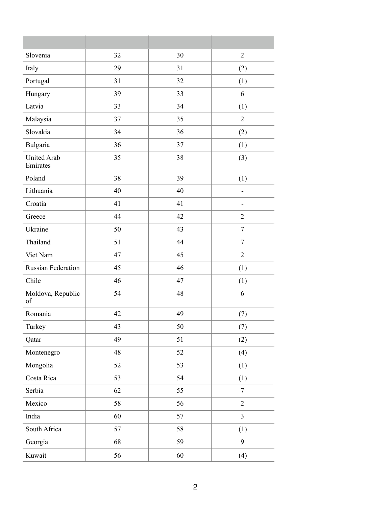| Slovenia                       | 32 | 30 | $\overline{2}$           |
|--------------------------------|----|----|--------------------------|
| Italy                          | 29 | 31 | (2)                      |
| Portugal                       | 31 | 32 | (1)                      |
| Hungary                        | 39 | 33 | 6                        |
| Latvia                         | 33 | 34 | (1)                      |
| Malaysia                       | 37 | 35 | $\overline{2}$           |
| Slovakia                       | 34 | 36 | (2)                      |
| Bulgaria                       | 36 | 37 | (1)                      |
| <b>United Arab</b><br>Emirates | 35 | 38 | (3)                      |
| Poland                         | 38 | 39 | (1)                      |
| Lithuania                      | 40 | 40 | $\overline{\phantom{0}}$ |
| Croatia                        | 41 | 41 | -                        |
| Greece                         | 44 | 42 | $\overline{2}$           |
| Ukraine                        | 50 | 43 | $\overline{7}$           |
| Thailand                       | 51 | 44 | $\overline{7}$           |
| Viet Nam                       | 47 | 45 | $\overline{2}$           |
| <b>Russian Federation</b>      | 45 | 46 | (1)                      |
| Chile                          | 46 | 47 | (1)                      |
| Moldova, Republic<br>of        | 54 | 48 | 6                        |
| Romania                        | 42 | 49 | (7)                      |
| Turkey                         | 43 | 50 | (7)                      |
| Qatar                          | 49 | 51 | (2)                      |
| Montenegro                     | 48 | 52 | (4)                      |
| Mongolia                       | 52 | 53 | (1)                      |
| Costa Rica                     | 53 | 54 | (1)                      |
| Serbia                         | 62 | 55 | $\overline{7}$           |
| Mexico                         | 58 | 56 | $\overline{2}$           |
| India                          | 60 | 57 | $\overline{3}$           |
| South Africa                   | 57 | 58 | (1)                      |
| Georgia                        | 68 | 59 | 9                        |
| Kuwait                         | 56 | 60 | (4)                      |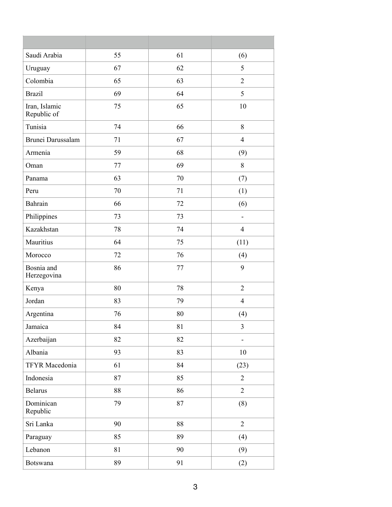| Saudi Arabia                 | 55 | 61 | (6)                      |
|------------------------------|----|----|--------------------------|
| Uruguay                      | 67 | 62 | 5                        |
| Colombia                     | 65 | 63 | $\overline{2}$           |
| <b>Brazil</b>                | 69 | 64 | 5                        |
| Iran, Islamic<br>Republic of | 75 | 65 | 10                       |
| Tunisia                      | 74 | 66 | 8                        |
| Brunei Darussalam            | 71 | 67 | $\overline{4}$           |
| Armenia                      | 59 | 68 | (9)                      |
| Oman                         | 77 | 69 | 8                        |
| Panama                       | 63 | 70 | (7)                      |
| Peru                         | 70 | 71 | (1)                      |
| Bahrain                      | 66 | 72 | (6)                      |
| Philippines                  | 73 | 73 | ۰                        |
| Kazakhstan                   | 78 | 74 | $\overline{4}$           |
| Mauritius                    | 64 | 75 | (11)                     |
| Morocco                      | 72 | 76 | (4)                      |
| Bosnia and<br>Herzegovina    | 86 | 77 | 9                        |
| Kenya                        | 80 | 78 | $\overline{2}$           |
| Jordan                       | 83 | 79 | $\overline{4}$           |
| Argentina                    | 76 | 80 | (4)                      |
| Jamaica                      | 84 | 81 | $\overline{3}$           |
| Azerbaijan                   | 82 | 82 | $\overline{\phantom{0}}$ |
| Albania                      | 93 | 83 | 10                       |
| TFYR Macedonia               | 61 | 84 | (23)                     |
| Indonesia                    | 87 | 85 | $\overline{2}$           |
| <b>Belarus</b>               | 88 | 86 | $\overline{2}$           |
| Dominican<br>Republic        | 79 | 87 | (8)                      |
| Sri Lanka                    | 90 | 88 | $\overline{2}$           |
| Paraguay                     | 85 | 89 | (4)                      |
| Lebanon                      | 81 | 90 | (9)                      |
| Botswana                     | 89 | 91 | (2)                      |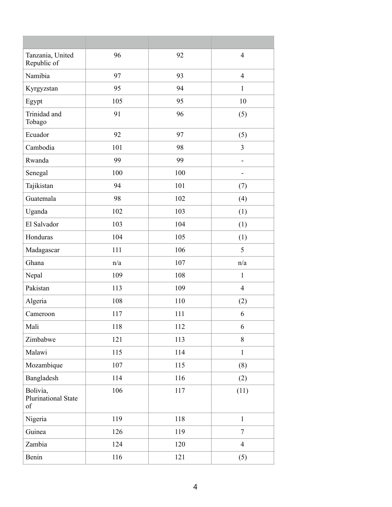| Tanzania, United<br>Republic of              | 96  | 92  | $\overline{4}$ |
|----------------------------------------------|-----|-----|----------------|
| Namibia                                      | 97  | 93  | $\overline{4}$ |
| Kyrgyzstan                                   | 95  | 94  | 1              |
| Egypt                                        | 105 | 95  | 10             |
| Trinidad and<br>Tobago                       | 91  | 96  | (5)            |
| Ecuador                                      | 92  | 97  | (5)            |
| Cambodia                                     | 101 | 98  | 3              |
| Rwanda                                       | 99  | 99  | -              |
| Senegal                                      | 100 | 100 |                |
| Tajikistan                                   | 94  | 101 | (7)            |
| Guatemala                                    | 98  | 102 | (4)            |
| Uganda                                       | 102 | 103 | (1)            |
| El Salvador                                  | 103 | 104 | (1)            |
| Honduras                                     | 104 | 105 | (1)            |
| Madagascar                                   | 111 | 106 | 5              |
| Ghana                                        | n/a | 107 | n/a            |
| Nepal                                        | 109 | 108 | $\mathbf{1}$   |
| Pakistan                                     | 113 | 109 | $\overline{4}$ |
| Algeria                                      | 108 | 110 | (2)            |
| Cameroon                                     | 117 | 111 | 6              |
| Mali                                         | 118 | 112 | 6              |
| Zimbabwe                                     | 121 | 113 | 8              |
| Malawi                                       | 115 | 114 | $\mathbf{1}$   |
| Mozambique                                   | 107 | 115 | (8)            |
| Bangladesh                                   | 114 | 116 | (2)            |
| Bolivia,<br><b>Plurinational State</b><br>of | 106 | 117 | (11)           |
| Nigeria                                      | 119 | 118 | $\mathbf{1}$   |
| Guinea                                       | 126 | 119 | $\tau$         |
| Zambia                                       | 124 | 120 | $\overline{4}$ |
| Benin                                        | 116 | 121 | (5)            |